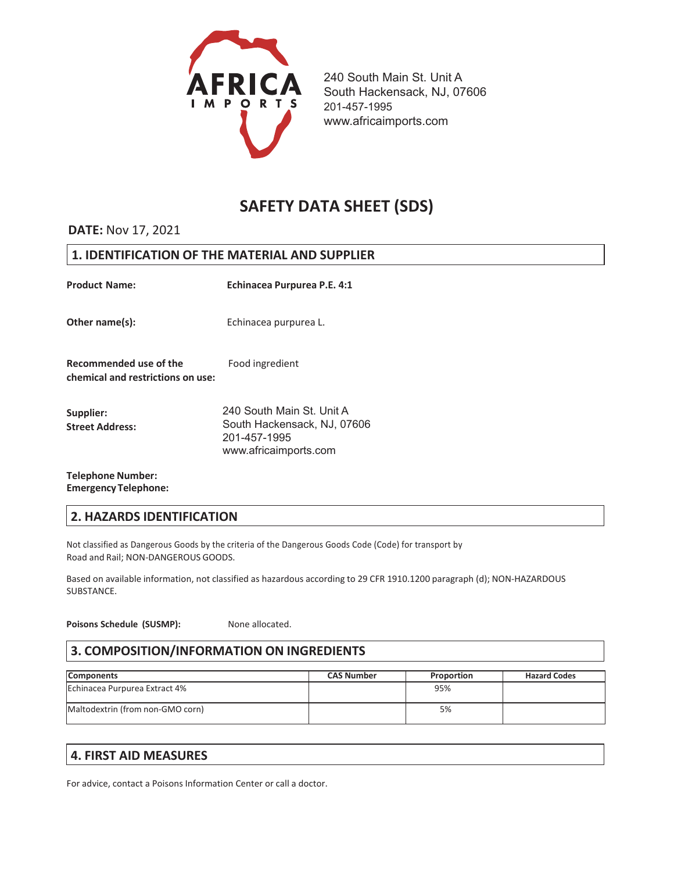

# **SAFETY DATA SHEET (SDS)**

### **DATE:** Nov 17, 2021

### **1. IDENTIFICATION OF THE MATERIAL AND SUPPLIER**

| <b>Product Name:</b>                                        | Echinacea Purpurea P.E. 4:1                                                                       |
|-------------------------------------------------------------|---------------------------------------------------------------------------------------------------|
| Other name(s):                                              | Echinacea purpurea L.                                                                             |
| Recommended use of the<br>chemical and restrictions on use: | Food ingredient                                                                                   |
| Supplier:<br><b>Street Address:</b>                         | 240 South Main St. Unit A<br>South Hackensack, NJ, 07606<br>201-457-1995<br>www.africaimports.com |

#### **Telephone Number:**  $Emergency$  **Telephone:**

### **2. HAZARDS IDENTIFICATION**

Not classified as Dangerous Goods by the criteria of the Dangerous Goods Code (Code) for transport by Road and Rail; NON-DANGEROUS GOODS.

Based on available information, not classified as hazardous according to 29 CFR 1910.1200 paragraph (d); NON-HAZARDOUS SUBSTANCE.

**Poisons Schedule (SUSMP):** None allocated.

### **3. COMPOSITION/INFORMATION ON INGREDIENTS**

| <b>Components</b>                | <b>CAS Number</b> | Proportion | <b>Hazard Codes</b> |
|----------------------------------|-------------------|------------|---------------------|
| Echinacea Purpurea Extract 4%    |                   | 95%        |                     |
| Maltodextrin (from non-GMO corn) |                   | 5%         |                     |

### **4. FIRST AID MEASURES**

For advice, contact a Poisons Information Center or call a doctor.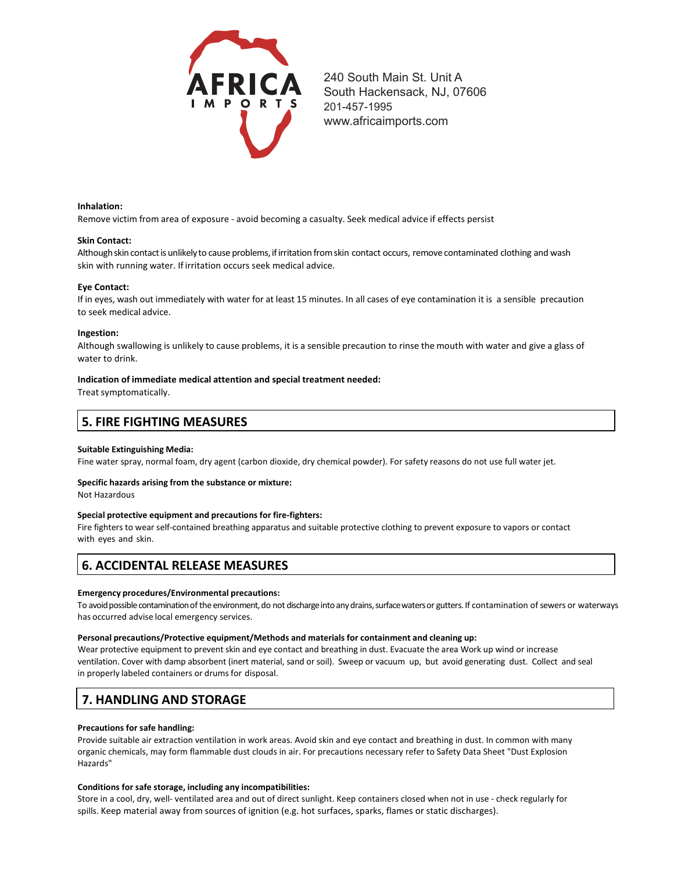

#### **Inhalation:**

Remove victim from area of exposure - avoid becoming a casualty. Seek medical advice if effects persist

#### **Skin Contact:**

Although skin contact is unlikely to cause problems, if irritation from skin contact occurs, remove contaminated clothing and wash skin with running water. If irritation occurs seek medical advice.

#### **Eye Contact:**

If in eyes, wash out immediately with water for at least 15 minutes. In all cases of eye contamination it is a sensible precaution to seek medical advice.

#### **Ingestion:**

Although swallowing is unlikely to cause problems, it is a sensible precaution to rinse the mouth with water and give a glass of water to drink.

#### **Indication of immediate medical attention and special treatment needed:**

Treat symptomatically.

### **5. FIRE FIGHTING MEASURES**

#### **Suitable Extinguishing Media:**

Fine water spray, normal foam, dry agent (carbon dioxide, dry chemical powder). For safety reasons do not use full water jet.

#### **Specific hazards arising from the substance or mixture:**

Not Hazardous

#### **Special protective equipment and precautions for fire-fighters:**

Fire fighters to wear self-contained breathing apparatus and suitable protective clothing to prevent exposure to vapors or contact with eyes and skin.

### **6. ACCIDENTAL RELEASE MEASURES**

#### **Emergency procedures/Environmental precautions:**

To avoid possible contamination of the environment, do not discharge into any drains, surface waters or gutters. If contamination of sewers or waterways has occurred advise local emergency services.

#### **Personal precautions/Protective equipment/Methods and materials for containment and cleaning up:**

Wear protective equipment to prevent skin and eye contact and breathing in dust. Evacuate the area Work up wind or increase ventilation. Cover with damp absorbent (inert material, sand or soil). Sweep or vacuum up, but avoid generating dust. Collect and seal in properly labeled containers or drums for disposal.

### **7. HANDLING AND STORAGE**

#### **Precautions for safe handling:**

Provide suitable air extraction ventilation in work areas. Avoid skin and eye contact and breathing in dust. In common with many organic chemicals, may form flammable dust clouds in air. For precautions necessary refer to Safety Data Sheet "Dust Explosion Hazards"

#### **Conditions for safe storage, including any incompatibilities:**

Store in a cool, dry, well- ventilated area and out of direct sunlight. Keep containers closed when not in use - check regularly for spills. Keep material away from sources of ignition (e.g. hot surfaces, sparks, flames or static discharges).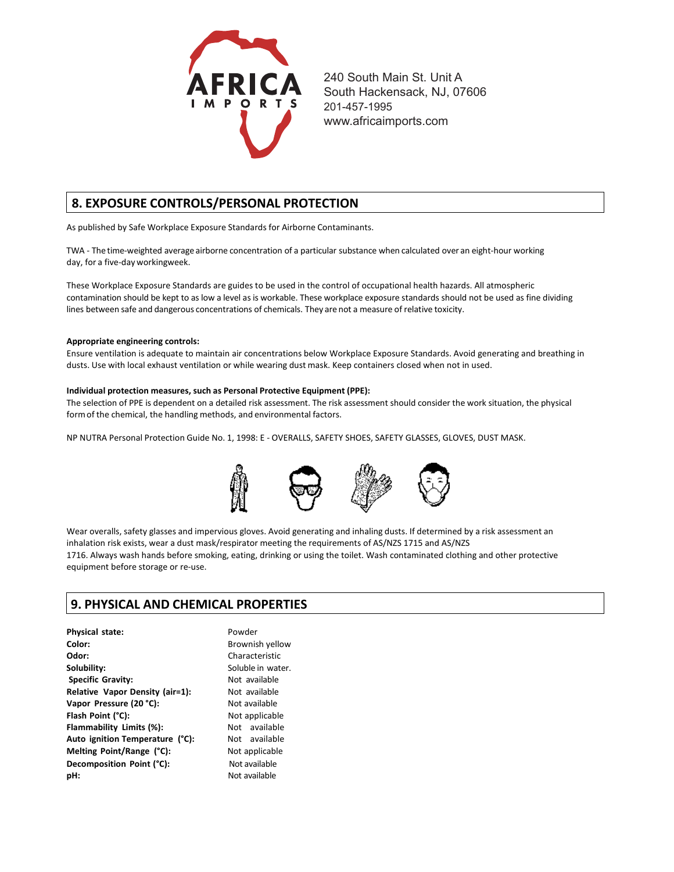

### **8. EXPOSURE CONTROLS/PERSONAL PROTECTION**

As published by Safe Workplace Exposure Standards for Airborne Contaminants.

TWA - The time-weighted average airborne concentration of a particular substance when calculated over an eight-hour working day, for a five-dayworkingweek.

These Workplace Exposure Standards are guides to be used in the control of occupational health hazards. All atmospheric contamination should be kept to as low a level as is workable. These workplace exposure standards should not be used as fine dividing lines between safe and dangerous concentrations of chemicals. They are not a measure of relative toxicity.

#### **Appropriate engineering controls:**

Ensure ventilation is adequate to maintain air concentrations below Workplace Exposure Standards. Avoid generating and breathing in dusts. Use with local exhaust ventilation or while wearing dust mask. Keep containers closed when not in used.

#### **Individual protection measures, such as Personal Protective Equipment (PPE):**

The selection of PPE is dependent on a detailed risk assessment. The risk assessment should consider the work situation, the physical formof the chemical, the handling methods, and environmental factors.

NP NUTRA Personal Protection Guide No. 1, 1998: E - OVERALLS, SAFETY SHOES, SAFETY GLASSES, GLOVES, DUST MASK.



Wear overalls, safety glasses and impervious gloves. Avoid generating and inhaling dusts. If determined by a risk assessment an inhalation risk exists, wear a dust mask/respirator meeting the requirements of AS/NZS 1715 and AS/NZS 1716. Always wash hands before smoking, eating, drinking or using the toilet. Wash contaminated clothing and other protective equipment before storage or re-use.

### **9. PHYSICAL AND CHEMICAL PROPERTIES**

| <b>Physical state:</b>          | Powder            |
|---------------------------------|-------------------|
| Color:                          | Brownish yellow   |
| Odor:                           | Characteristic    |
| Solubility:                     | Soluble in water. |
| <b>Specific Gravity:</b>        | Not available     |
| Relative Vapor Density (air=1): | Not available     |
| Vapor Pressure (20 °C):         | Not available     |
| Flash Point (°C):               | Not applicable    |
| Flammability Limits (%):        | Not available     |
| Auto ignition Temperature (°C): | Not available     |
| Melting Point/Range (°C):       | Not applicable    |
| Decomposition Point (°C):       | Not available     |
| pH:                             | Not available     |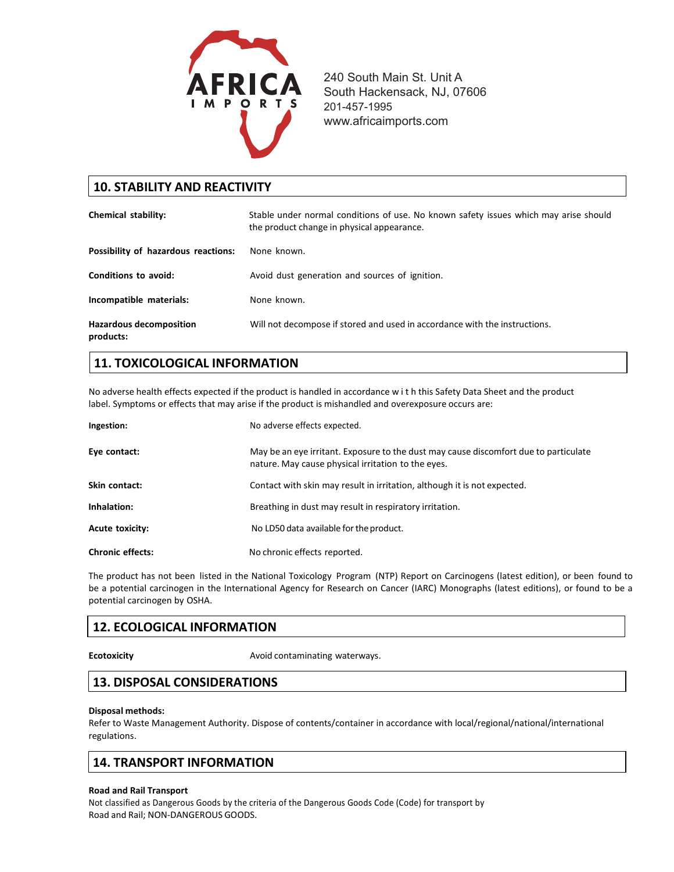

| <b>10. STABILITY AND REACTIVITY</b>         |                                                                                                                                    |  |
|---------------------------------------------|------------------------------------------------------------------------------------------------------------------------------------|--|
| Chemical stability:                         | Stable under normal conditions of use. No known safety issues which may arise should<br>the product change in physical appearance. |  |
| Possibility of hazardous reactions:         | None known.                                                                                                                        |  |
| Conditions to avoid:                        | Avoid dust generation and sources of ignition.                                                                                     |  |
| Incompatible materials:                     | None known.                                                                                                                        |  |
| <b>Hazardous decomposition</b><br>products: | Will not decompose if stored and used in accordance with the instructions.                                                         |  |

# **11. TOXICOLOGICAL INFORMATION**

No adverse health effects expected if the product is handled in accordance w i t h this Safety Data Sheet and the product label. Symptoms or effects that may arise if the product is mishandled and overexposure occurs are:

| Ingestion:              | No adverse effects expected.                                                                                                               |
|-------------------------|--------------------------------------------------------------------------------------------------------------------------------------------|
| Eye contact:            | May be an eye irritant. Exposure to the dust may cause discomfort due to particulate<br>nature. May cause physical irritation to the eyes. |
| Skin contact:           | Contact with skin may result in irritation, although it is not expected.                                                                   |
| Inhalation:             | Breathing in dust may result in respiratory irritation.                                                                                    |
| <b>Acute toxicity:</b>  | No LD50 data available for the product.                                                                                                    |
| <b>Chronic effects:</b> | No chronic effects reported.                                                                                                               |

The product has not been listed in the National Toxicology Program (NTP) Report on Carcinogens (latest edition), or been found to be a potential carcinogen in the International Agency for Research on Cancer (IARC) Monographs (latest editions), or found to be a potential carcinogen by OSHA.

# **12. ECOLOGICAL INFORMATION**

**Ecotoxicity Example 2018** Avoid contaminating waterways.

# **13. DISPOSAL CONSIDERATIONS**

#### **Disposal methods:**

Refer to Waste Management Authority. Dispose of contents/container in accordance with local/regional/national/international regulations.

### **14. TRANSPORT INFORMATION**

#### **Road and Rail Transport**

Not classified as Dangerous Goods by the criteria of the Dangerous Goods Code (Code) for transport by Road and Rail; NON-DANGEROUS GOODS.